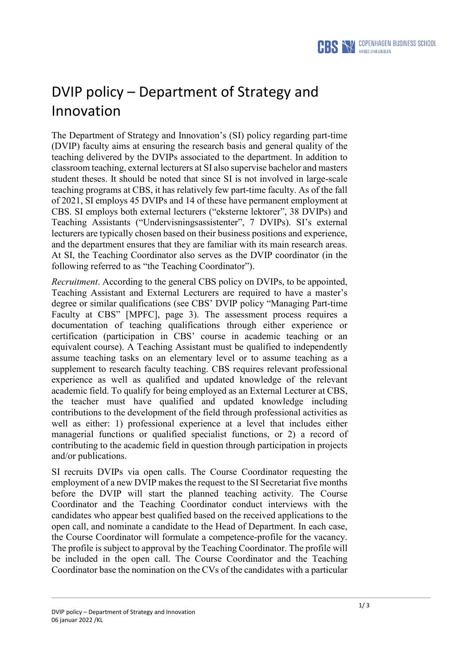

## DVIP policy – Department of Strategy and Innovation

The Department of Strategy and Innovation's (SI) policy regarding part-time (DVIP) faculty aims at ensuring the research basis and general quality of the teaching delivered by the DVIPs associated to the department. In addition to classroom teaching, external lecturers at SI also supervise bachelor and masters student theses. It should be noted that since SI is not involved in large-scale teaching programs at CBS, it has relatively few part-time faculty. As of the fall of 2021, SI employs 45 DVIPs and 14 of these have permanent employment at CBS. SI employs both external lecturers ("eksterne lektorer", 38 DVIPs) and Teaching Assistants ("Undervisningsassistenter", 7 DVIPs). SI's external lecturers are typically chosen based on their business positions and experience, and the department ensures that they are familiar with its main research areas. At SI, the Teaching Coordinator also serves as the DVIP coordinator (in the following referred to as "the Teaching Coordinator").

*Recruitment*. According to the general CBS policy on DVIPs, to be appointed, Teaching Assistant and External Lecturers are required to have a master's degree or similar qualifications (see CBS' DVIP policy "Managing Part-time Faculty at CBS" [MPFC], page 3). The assessment process requires a documentation of teaching qualifications through either experience or certification (participation in CBS' course in academic teaching or an equivalent course). A Teaching Assistant must be qualified to independently assume teaching tasks on an elementary level or to assume teaching as a supplement to research faculty teaching. CBS requires relevant professional experience as well as qualified and updated knowledge of the relevant academic field. To qualify for being employed as an External Lecturer at CBS, the teacher must have qualified and updated knowledge including contributions to the development of the field through professional activities as well as either: 1) professional experience at a level that includes either managerial functions or qualified specialist functions, or 2) a record of contributing to the academic field in question through participation in projects and/or publications.

SI recruits DVIPs via open calls. The Course Coordinator requesting the employment of a new DVIP makes the request to the SI Secretariat five months before the DVIP will start the planned teaching activity. The Course Coordinator and the Teaching Coordinator conduct interviews with the candidates who appear best qualified based on the received applications to the open call, and nominate a candidate to the Head of Department. In each case, the Course Coordinator will formulate a competence-profile for the vacancy. The profile is subject to approval by the Teaching Coordinator. The profile will be included in the open call. The Course Coordinator and the Teaching Coordinator base the nomination on the CVs of the candidates with a particular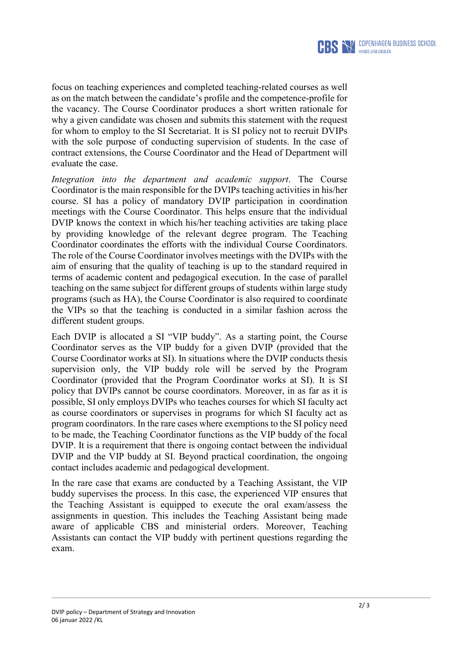

focus on teaching experiences and completed teaching-related courses as well as on the match between the candidate's profile and the competence-profile for the vacancy. The Course Coordinator produces a short written rationale for why a given candidate was chosen and submits this statement with the request for whom to employ to the SI Secretariat. It is SI policy not to recruit DVIPs with the sole purpose of conducting supervision of students. In the case of contract extensions, the Course Coordinator and the Head of Department will evaluate the case.

*Integration into the department and academic support*. The Course Coordinator is the main responsible for the DVIPs teaching activities in his/her course. SI has a policy of mandatory DVIP participation in coordination meetings with the Course Coordinator. This helps ensure that the individual DVIP knows the context in which his/her teaching activities are taking place by providing knowledge of the relevant degree program. The Teaching Coordinator coordinates the efforts with the individual Course Coordinators. The role of the Course Coordinator involves meetings with the DVIPs with the aim of ensuring that the quality of teaching is up to the standard required in terms of academic content and pedagogical execution. In the case of parallel teaching on the same subject for different groups of students within large study programs (such as HA), the Course Coordinator is also required to coordinate the VIPs so that the teaching is conducted in a similar fashion across the different student groups.

Each DVIP is allocated a SI "VIP buddy". As a starting point, the Course Coordinator serves as the VIP buddy for a given DVIP (provided that the Course Coordinator works at SI). In situations where the DVIP conducts thesis supervision only, the VIP buddy role will be served by the Program Coordinator (provided that the Program Coordinator works at SI). It is SI policy that DVIPs cannot be course coordinators. Moreover, in as far as it is possible, SI only employs DVIPs who teaches courses for which SI faculty act as course coordinators or supervises in programs for which SI faculty act as program coordinators. In the rare cases where exemptions to the SI policy need to be made, the Teaching Coordinator functions as the VIP buddy of the focal DVIP. It is a requirement that there is ongoing contact between the individual DVIP and the VIP buddy at SI. Beyond practical coordination, the ongoing contact includes academic and pedagogical development.

In the rare case that exams are conducted by a Teaching Assistant, the VIP buddy supervises the process. In this case, the experienced VIP ensures that the Teaching Assistant is equipped to execute the oral exam/assess the assignments in question. This includes the Teaching Assistant being made aware of applicable CBS and ministerial orders. Moreover, Teaching Assistants can contact the VIP buddy with pertinent questions regarding the exam.